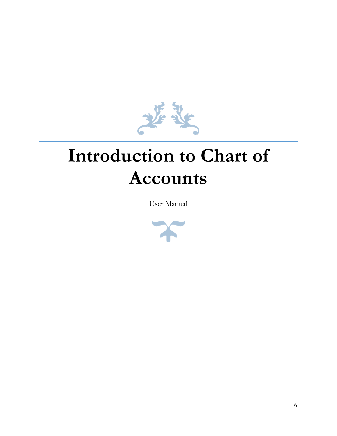

# **Introduction to Chart of Accounts**

User Manual

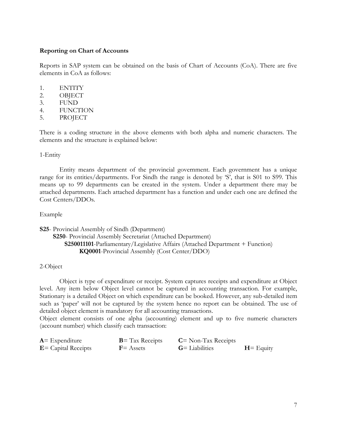## **Reporting on Chart of Accounts**

Reports in SAP system can be obtained on the basis of Chart of Accounts (CoA). There are five elements in CoA as follows:

- 1. ENTITY
- 2. OBJECT
- 3. FUND
- 4. FUNCTION
- 5. PROJECT

There is a coding structure in the above elements with both alpha and numeric characters. The elements and the structure is explained below:

### 1-Entity

Entity means department of the provincial government. Each government has a unique range for its entities/departments. For Sindh the range is denoted by 'S', that is S01 to S99. This means up to 99 departments can be created in the system. Under a department there may be attached departments. Each attached department has a function and under each one are defined the Cost Centers/DDOs.

#### Example

**S25**- Provincial Assembly of Sindh (Department) **S250**- Provincial Assembly Secretariat (Attached Department) **S250011101**-Parliamentary/Legislative Affairs (Attached Department + Function) **KQ0001**-Provincial Assembly (Cost Center/DDO)

# 2-Object

Object is type of expenditure or receipt. System captures receipts and expenditure at Object level. Any item below Object level cannot be captured in accounting transaction. For example, Stationary is a detailed Object on which expenditure can be booked. However, any sub-detailed item such as 'paper' will not be captured by the system hence no report can be obtained. The use of detailed object element is mandatory for all accounting transactions.

Object element consists of one alpha (accounting) element and up to five numeric characters (account number) which classify each transaction:

| $A =$ Expenditure      | $B = Tax$ Receipts | $C = \text{Non-Tax}\,$ Receipts |              |
|------------------------|--------------------|---------------------------------|--------------|
| $E =$ Capital Receipts | $F =$ Assets       | $G =$ Liabilities               | $H =$ Equity |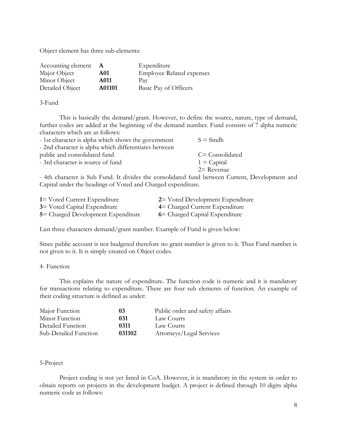Object element has three sub-elements:

| Accounting element |        | Expenditure                      |
|--------------------|--------|----------------------------------|
| Major Object       | A01    | <b>Employee Related expenses</b> |
| Minor Object       | A011   | Pay                              |
| Detailed Object    | A01101 | Basic Pay of Officers            |

3-Fund

This is basically the demand/grant. However, to define the source, nature, type of demand, further codes are added at the beginning of the demand number. Fund consists of 7 alpha numeric characters which are as follows:

| - 1st character is alpha which shows the government   | $S =$ Sindh     |
|-------------------------------------------------------|-----------------|
| - 2nd character is alpha which differentiates between |                 |
| public and consolidated fund                          | C= Consolidated |
| - 3rd character is source of fund                     | $1 =$ Capital   |
|                                                       | $2=$ Revenue    |

- 4th character is Sub Fund. It divides the consolidated fund between Current, Development and Capital under the headings of Voted and Charged expenditure.

| 1 = Voted Current Expenditure       | 2 = Voted Development Expenditure |
|-------------------------------------|-----------------------------------|
| <b>3</b> Voted Capital Expenditure  | 4 = Charged Current Expenditure   |
| 5 = Charged Development Expenditure | 6 = Charged Capital Expenditure   |

Last three characters demand/grant number. Example of Fund is given below:

Since public account is not budgeted therefore no grant number is given to it. Thus Fund number is not given to it. It is simply created on Object codes.

## 4- Function

This explains the nature of expenditure. The function code is numeric and it is mandatory for transactions relating to expenditure. There are four sub elements of function. An example of their coding structure is defined as under:

| Major Function        | 03      | Public order and safety affairs |
|-----------------------|---------|---------------------------------|
| Minor Function        | 031     | Law Courts                      |
| Detailed Function     | 0311    | Law Courts                      |
| Sub-Detailed Function | 0.31102 | Attorneys/Legal Services        |

## 5-Project

Project coding is not yet listed in CoA. However, it is mandatory in the system in order to obtain reports on projects in the development budget. A project is defined through 10 digits alpha numeric code as follows: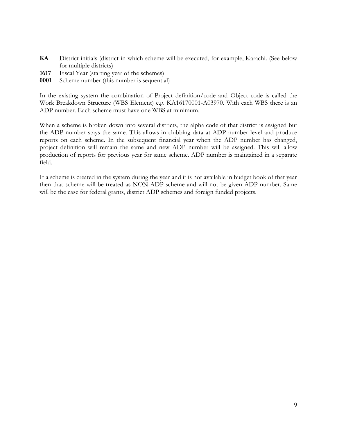- **KA** District initials (district in which scheme will be executed, for example, Karachi. (See below for multiple districts)
- **1617** Fiscal Year (starting year of the schemes)
- **0001** Scheme number (this number is sequential)

In the existing system the combination of Project definition/code and Object code is called the Work Breakdown Structure (WBS Element) e.g. KA16170001-A03970. With each WBS there is an ADP number. Each scheme must have one WBS at minimum.

When a scheme is broken down into several districts, the alpha code of that district is assigned but the ADP number stays the same. This allows in clubbing data at ADP number level and produce reports on each scheme. In the subsequent financial year when the ADP number has changed, project definition will remain the same and new ADP number will be assigned. This will allow production of reports for previous year for same scheme. ADP number is maintained in a separate field.

If a scheme is created in the system during the year and it is not available in budget book of that year then that scheme will be treated as NON-ADP scheme and will not be given ADP number. Same will be the case for federal grants, district ADP schemes and foreign funded projects.